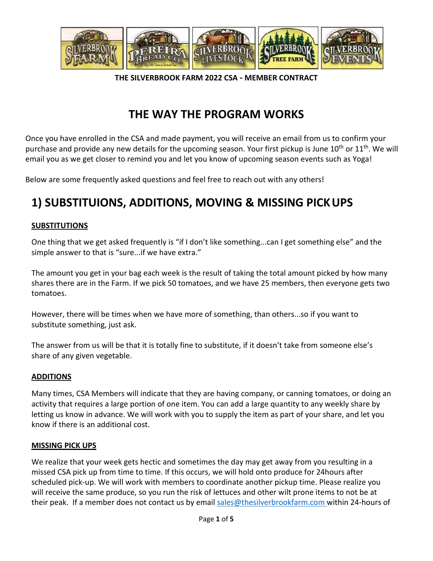

**THE SILVERBROOK FARM 2022 CSA ‐ MEMBER CONTRACT**

### **THE WAY THE PROGRAM WORKS**

Once you have enrolled in the CSA and made payment, you will receive an email from us to confirm your purchase and provide any new details for the upcoming season. Your first pickup is June  $10^{th}$  or  $11^{th}$ . We will email you as we get closer to remind you and let you know of upcoming season events such as Yoga!

Below are some frequently asked questions and feel free to reach out with any others!

## **1) SUBSTITUIONS, ADDITIONS, MOVING & MISSING PICKUPS**

#### **SUBSTITUTIONS**

One thing that we get asked frequently is "if I don't like something...can I get something else" and the simple answer to that is "sure...if we have extra."

The amount you get in your bag each week is the result of taking the total amount picked by how many shares there are in the Farm. If we pick 50 tomatoes, and we have 25 members, then everyone gets two tomatoes.

However, there will be times when we have more of something, than others...so if you want to substitute something, just ask.

The answer from us will be that it is totally fine to substitute, if it doesn't take from someone else's share of any given vegetable.

#### **ADDITIONS**

Many times, CSA Members will indicate that they are having company, or canning tomatoes, or doing an activity that requires a large portion of one item. You can add a large quantity to any weekly share by letting us know in advance. We will work with you to supply the item as part of your share, and let you know if there is an additional cost.

#### **MISSING PICK UPS**

We realize that your week gets hectic and sometimes the day may get away from you resulting in a missed CSA pick up from time to time. If this occurs, we will hold onto produce for 24hours after scheduled pick-up. We will work with members to coordinate another pickup time. Please realize you will receive the same produce, so you run the risk of lettuces and other wilt prone items to not be at their peak. If a member does not contact us by email [sales@thesilverbrookfarm.com w](mailto:sales@thesilverbrookfarm.com)ithin 24-hours of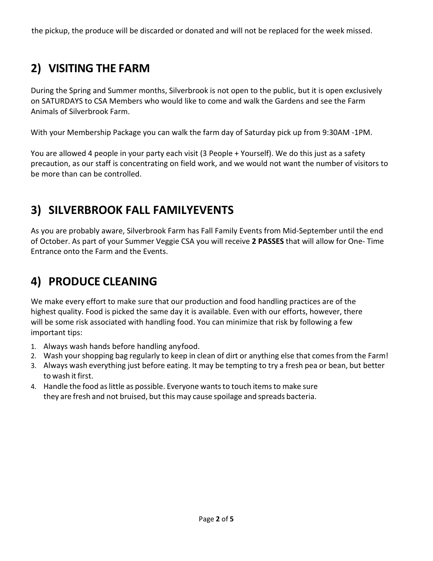the pickup, the produce will be discarded or donated and will not be replaced for the week missed.

# **2) VISITING THE FARM**

During the Spring and Summer months, Silverbrook is not open to the public, but it is open exclusively on SATURDAYS to CSA Members who would like to come and walk the Gardens and see the Farm Animals of Silverbrook Farm.

With your Membership Package you can walk the farm day of Saturday pick up from 9:30AM -1PM.

You are allowed 4 people in your party each visit (3 People + Yourself). We do this just as a safety precaution, as our staff is concentrating on field work, and we would not want the number of visitors to be more than can be controlled.

## **3) SILVERBROOK FALL FAMILYEVENTS**

As you are probably aware, Silverbrook Farm has Fall Family Events from Mid-September until the end of October. As part of your Summer Veggie CSA you will receive **2 PASSES** that will allow for One- Time Entrance onto the Farm and the Events.

# **4) PRODUCE CLEANING**

We make every effort to make sure that our production and food handling practices are of the highest quality. Food is picked the same day it is available. Even with our efforts, however, there will be some risk associated with handling food. You can minimize that risk by following a few important tips:

- 1. Always wash hands before handling anyfood.
- 2. Wash your shopping bag regularly to keep in clean of dirt or anything else that comes from the Farm!
- 3. Always wash everything just before eating. It may be tempting to try a fresh pea or bean, but better to wash it first.
- 4. Handle the food aslittle as possible. Everyone wantsto touch itemsto make sure they are fresh and not bruised, but this may cause spoilage and spreads bacteria.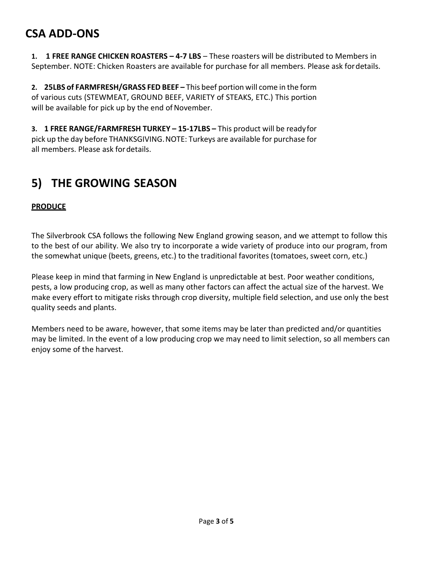#### **CSA ADD-ONS**

**1. 1 FREE RANGE CHICKEN ROASTERS – 4‐7 LBS** – These roasters will be distributed to Members in September. NOTE: Chicken Roasters are available for purchase for all members. Please ask fordetails.

**2. 25LBS of FARMFRESH/GRASS FED BEEF –** This beef portion will come in the form of various cuts (STEWMEAT, GROUND BEEF, VARIETY of STEAKS, ETC.) This portion will be available for pick up by the end of November.

**3. 1 FREE RANGE/FARMFRESH TURKEY – 15‐17LBS –** This product will be readyfor pick up the day before THANKSGIVING.NOTE: Turkeys are available for purchase for all members. Please ask fordetails.

### **5) THE GROWING SEASON**

#### **PRODUCE**

The Silverbrook CSA follows the following New England growing season, and we attempt to follow this to the best of our ability. We also try to incorporate a wide variety of produce into our program, from the somewhat unique (beets, greens, etc.) to the traditional favorites (tomatoes, sweet corn, etc.)

Please keep in mind that farming in New England is unpredictable at best. Poor weather conditions, pests, a low producing crop, as well as many other factors can affect the actual size of the harvest. We make every effort to mitigate risks through crop diversity, multiple field selection, and use only the best quality seeds and plants.

Members need to be aware, however, that some items may be later than predicted and/or quantities may be limited. In the event of a low producing crop we may need to limit selection, so all members can enjoy some of the harvest.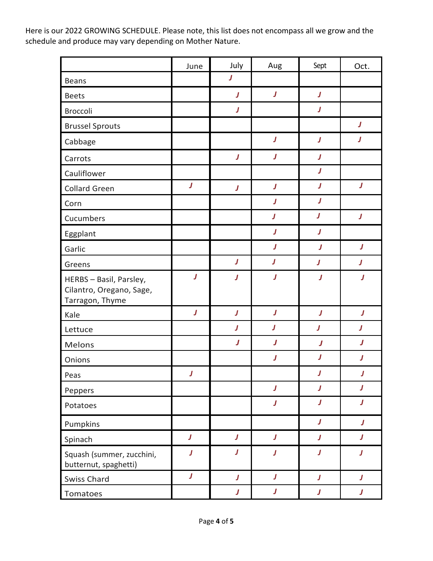Here is our 2022 GROWING SCHEDULE. Please note, this list does not encompass all we grow and the schedule and produce may vary depending on Mother Nature.

|                                                                        | June             | July             | Aug              | Sept             | Oct.                    |
|------------------------------------------------------------------------|------------------|------------------|------------------|------------------|-------------------------|
| Beans                                                                  |                  | J                |                  |                  |                         |
| <b>Beets</b>                                                           |                  | J                | $\pmb{J}$        | J                |                         |
| <b>Broccoli</b>                                                        |                  | J                |                  | J                |                         |
| <b>Brussel Sprouts</b>                                                 |                  |                  |                  |                  | J                       |
| Cabbage                                                                |                  |                  | J                | J                | J                       |
| Carrots                                                                |                  | J                | J                | J                |                         |
| Cauliflower                                                            |                  |                  |                  | J                |                         |
| <b>Collard Green</b>                                                   | $\pmb{J}$        | J                | $\pmb{J}$        | $\boldsymbol{J}$ | $\pmb{J}$               |
| Corn                                                                   |                  |                  | J                | J                |                         |
| Cucumbers                                                              |                  |                  | J                | J                | J                       |
| Eggplant                                                               |                  |                  | J                | J                |                         |
| Garlic                                                                 |                  |                  | J                | J                | $\boldsymbol{J}$        |
| Greens                                                                 |                  | $\pmb{J}$        | $\pmb{J}$        | $\pmb{J}$        | J                       |
| HERBS - Basil, Parsley,<br>Cilantro, Oregano, Sage,<br>Tarragon, Thyme | J                | J                | J                | J                | J                       |
| Kale                                                                   | J                | $\pmb{J}$        | $\pmb{J}$        | $\pmb{J}$        | $\pmb{J}$               |
| Lettuce                                                                |                  | J                | J                | J                | J                       |
| <b>Melons</b>                                                          |                  | J                | J                | J                | J                       |
| Onions                                                                 |                  |                  | J                | J                | J                       |
| Peas                                                                   | J                |                  |                  | J                | J                       |
| Peppers                                                                |                  |                  | J                | J                | $\boldsymbol{J}$        |
| Potatoes                                                               |                  |                  | J                | $\pmb{J}$        | $\overline{\mathbf{J}}$ |
| Pumpkins                                                               |                  |                  |                  | J                | J                       |
| Spinach                                                                | $\boldsymbol{J}$ | J                | $\pmb{J}$        | J                | J                       |
| Squash (summer, zucchini,<br>butternut, spaghetti)                     | J                | J                | $\boldsymbol{J}$ | J                | J                       |
| Swiss Chard                                                            | $\pmb{J}$        | $\boldsymbol{J}$ | J                | $\pmb{J}$        | J                       |
| Tomatoes                                                               |                  | J                | J                | J                | J                       |